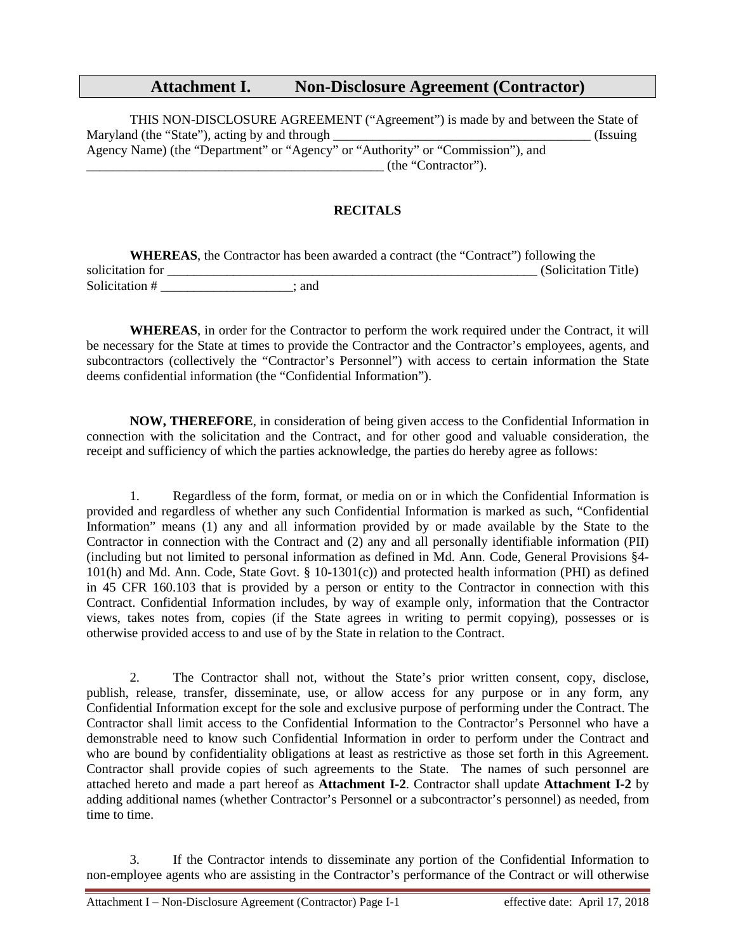# **Attachment I. Non-Disclosure Agreement (Contractor)**

THIS NON-DISCLOSURE AGREEMENT ("Agreement") is made by and between the State of Maryland (the "State"), acting by and through \_\_\_\_\_\_\_\_\_\_\_\_\_\_\_\_\_\_\_\_\_\_\_\_\_\_\_\_\_\_\_\_\_\_\_\_\_\_\_ (Issuing Agency Name) (the "Department" or "Agency" or "Authority" or "Commission"), and \_\_\_\_\_\_\_\_\_\_\_\_\_\_\_\_\_\_\_\_\_\_\_\_\_\_\_\_\_\_\_\_\_\_\_\_\_\_\_\_\_\_\_\_\_ (the "Contractor").

## **RECITALS**

|                  | <b>WHEREAS</b> , the Contractor has been awarded a contract (the "Contract") following the |                      |
|------------------|--------------------------------------------------------------------------------------------|----------------------|
| solicitation for |                                                                                            | (Solicitation Title) |
| Solicitation #   | and                                                                                        |                      |

**WHEREAS**, in order for the Contractor to perform the work required under the Contract, it will be necessary for the State at times to provide the Contractor and the Contractor's employees, agents, and subcontractors (collectively the "Contractor's Personnel") with access to certain information the State deems confidential information (the "Confidential Information").

**NOW, THEREFORE**, in consideration of being given access to the Confidential Information in connection with the solicitation and the Contract, and for other good and valuable consideration, the receipt and sufficiency of which the parties acknowledge, the parties do hereby agree as follows:

1. Regardless of the form, format, or media on or in which the Confidential Information is provided and regardless of whether any such Confidential Information is marked as such, "Confidential Information" means (1) any and all information provided by or made available by the State to the Contractor in connection with the Contract and (2) any and all personally identifiable information (PII) (including but not limited to personal information as defined in Md. Ann. Code, General Provisions §4- 101(h) and Md. Ann. Code, State Govt. § 10-1301(c)) and protected health information (PHI) as defined in 45 CFR 160.103 that is provided by a person or entity to the Contractor in connection with this Contract. Confidential Information includes, by way of example only, information that the Contractor views, takes notes from, copies (if the State agrees in writing to permit copying), possesses or is otherwise provided access to and use of by the State in relation to the Contract.

2. The Contractor shall not, without the State's prior written consent, copy, disclose, publish, release, transfer, disseminate, use, or allow access for any purpose or in any form, any Confidential Information except for the sole and exclusive purpose of performing under the Contract. The Contractor shall limit access to the Confidential Information to the Contractor's Personnel who have a demonstrable need to know such Confidential Information in order to perform under the Contract and who are bound by confidentiality obligations at least as restrictive as those set forth in this Agreement. Contractor shall provide copies of such agreements to the State. The names of such personnel are attached hereto and made a part hereof as **Attachment I-2**. Contractor shall update **Attachment I-2** by adding additional names (whether Contractor's Personnel or a subcontractor's personnel) as needed, from time to time.

3. If the Contractor intends to disseminate any portion of the Confidential Information to non-employee agents who are assisting in the Contractor's performance of the Contract or will otherwise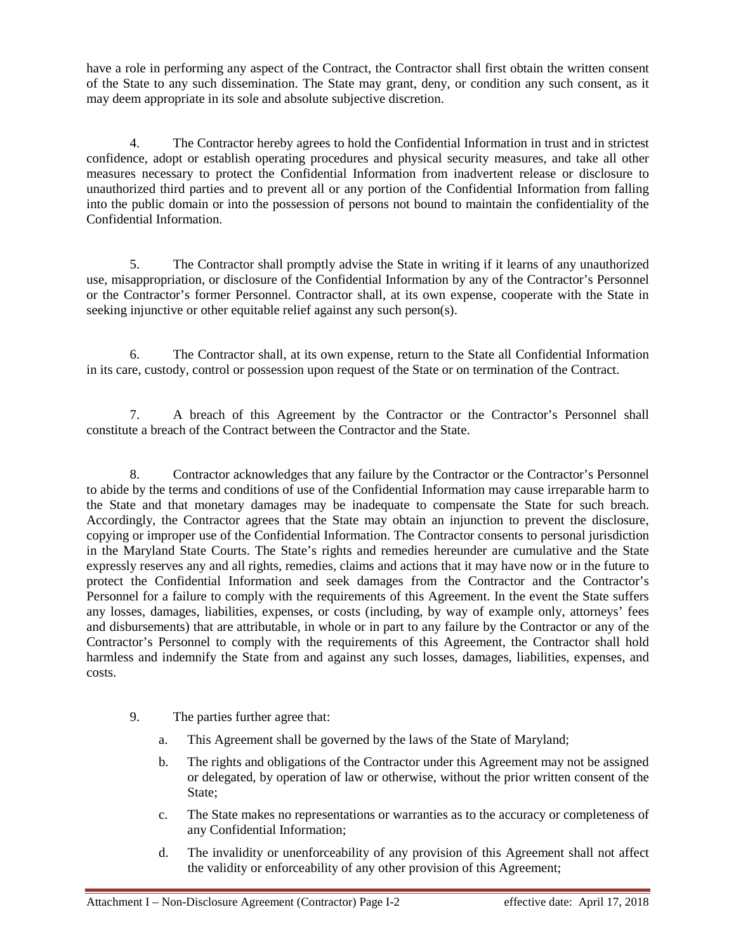have a role in performing any aspect of the Contract, the Contractor shall first obtain the written consent of the State to any such dissemination. The State may grant, deny, or condition any such consent, as it may deem appropriate in its sole and absolute subjective discretion.

4. The Contractor hereby agrees to hold the Confidential Information in trust and in strictest confidence, adopt or establish operating procedures and physical security measures, and take all other measures necessary to protect the Confidential Information from inadvertent release or disclosure to unauthorized third parties and to prevent all or any portion of the Confidential Information from falling into the public domain or into the possession of persons not bound to maintain the confidentiality of the Confidential Information.

5. The Contractor shall promptly advise the State in writing if it learns of any unauthorized use, misappropriation, or disclosure of the Confidential Information by any of the Contractor's Personnel or the Contractor's former Personnel. Contractor shall, at its own expense, cooperate with the State in seeking injunctive or other equitable relief against any such person(s).

6. The Contractor shall, at its own expense, return to the State all Confidential Information in its care, custody, control or possession upon request of the State or on termination of the Contract.

7. A breach of this Agreement by the Contractor or the Contractor's Personnel shall constitute a breach of the Contract between the Contractor and the State.

8. Contractor acknowledges that any failure by the Contractor or the Contractor's Personnel to abide by the terms and conditions of use of the Confidential Information may cause irreparable harm to the State and that monetary damages may be inadequate to compensate the State for such breach. Accordingly, the Contractor agrees that the State may obtain an injunction to prevent the disclosure, copying or improper use of the Confidential Information. The Contractor consents to personal jurisdiction in the Maryland State Courts. The State's rights and remedies hereunder are cumulative and the State expressly reserves any and all rights, remedies, claims and actions that it may have now or in the future to protect the Confidential Information and seek damages from the Contractor and the Contractor's Personnel for a failure to comply with the requirements of this Agreement. In the event the State suffers any losses, damages, liabilities, expenses, or costs (including, by way of example only, attorneys' fees and disbursements) that are attributable, in whole or in part to any failure by the Contractor or any of the Contractor's Personnel to comply with the requirements of this Agreement, the Contractor shall hold harmless and indemnify the State from and against any such losses, damages, liabilities, expenses, and costs.

- 9. The parties further agree that:
	- a. This Agreement shall be governed by the laws of the State of Maryland;
	- b. The rights and obligations of the Contractor under this Agreement may not be assigned or delegated, by operation of law or otherwise, without the prior written consent of the State;
	- c. The State makes no representations or warranties as to the accuracy or completeness of any Confidential Information;
	- d. The invalidity or unenforceability of any provision of this Agreement shall not affect the validity or enforceability of any other provision of this Agreement;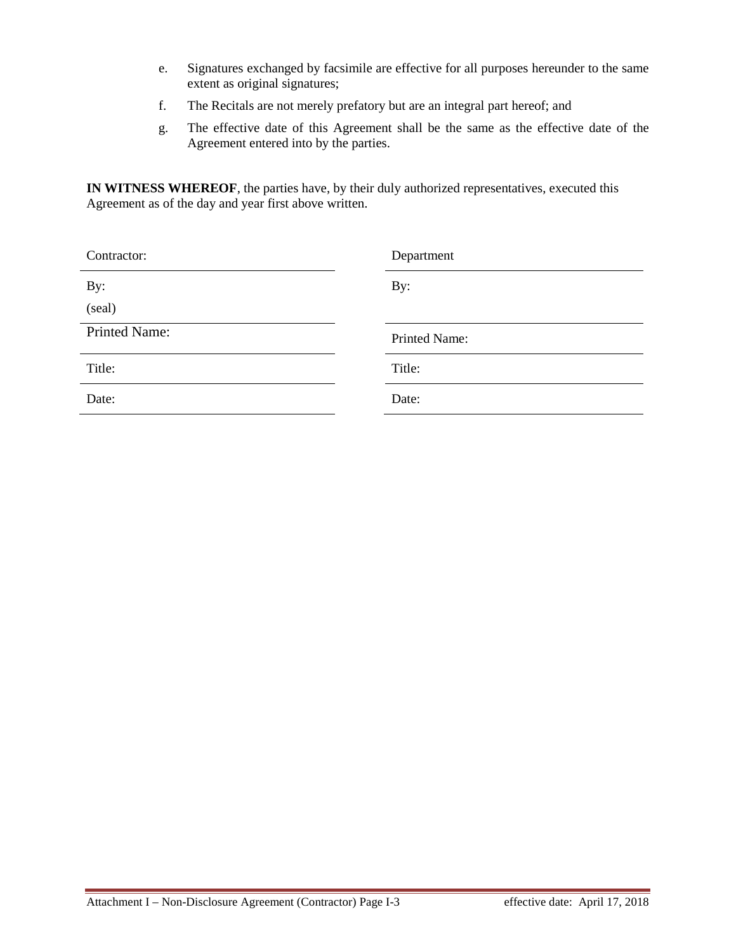- e. Signatures exchanged by facsimile are effective for all purposes hereunder to the same extent as original signatures;
- f. The Recitals are not merely prefatory but are an integral part hereof; and
- g. The effective date of this Agreement shall be the same as the effective date of the Agreement entered into by the parties.

**IN WITNESS WHEREOF**, the parties have, by their duly authorized representatives, executed this Agreement as of the day and year first above written.

| Contractor:   | Department    |
|---------------|---------------|
| By:           | By:           |
| (seal)        |               |
| Printed Name: | Printed Name: |
| Title:        | Title:        |
| Date:         | Date:         |
|               |               |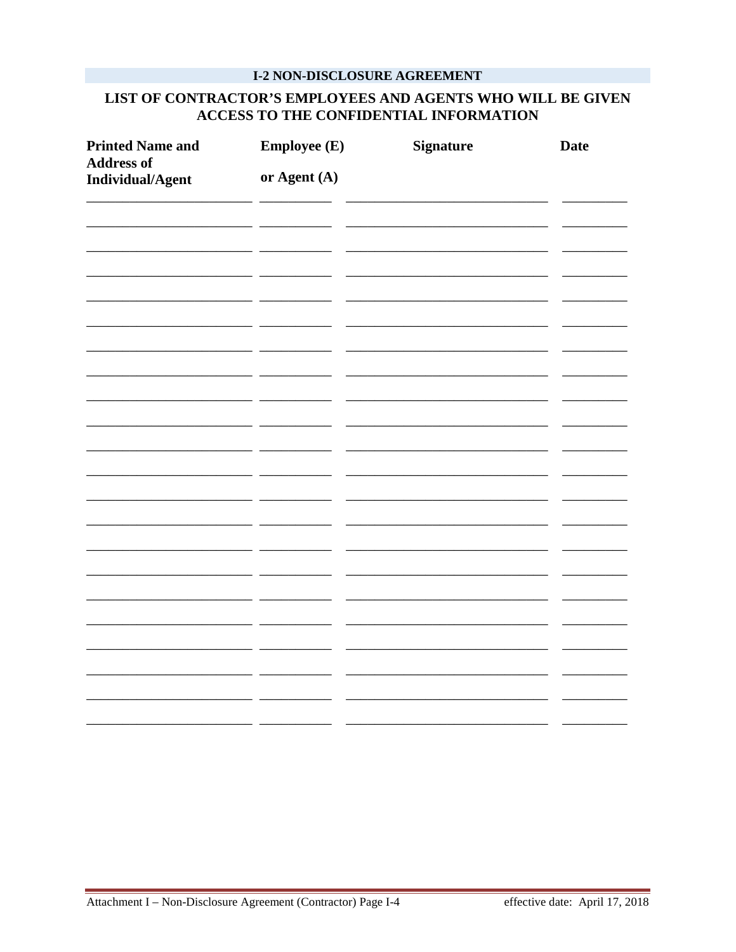## **I-2 NON-DISCLOSURE AGREEMENT**

## LIST OF CONTRACTOR'S EMPLOYEES AND AGENTS WHO WILL BE GIVEN ACCESS TO THE CONFIDENTIAL INFORMATION

| <b>Printed Name and</b><br><b>Address of</b><br>Individual/Agent | <b>Employee (E)</b><br>or Agent (A) | <b>Signature</b> | <b>Date</b> |
|------------------------------------------------------------------|-------------------------------------|------------------|-------------|
|                                                                  |                                     |                  |             |
|                                                                  |                                     |                  |             |
|                                                                  |                                     |                  |             |
|                                                                  |                                     |                  |             |
|                                                                  |                                     |                  |             |
|                                                                  |                                     |                  |             |
|                                                                  |                                     |                  |             |
|                                                                  |                                     |                  |             |